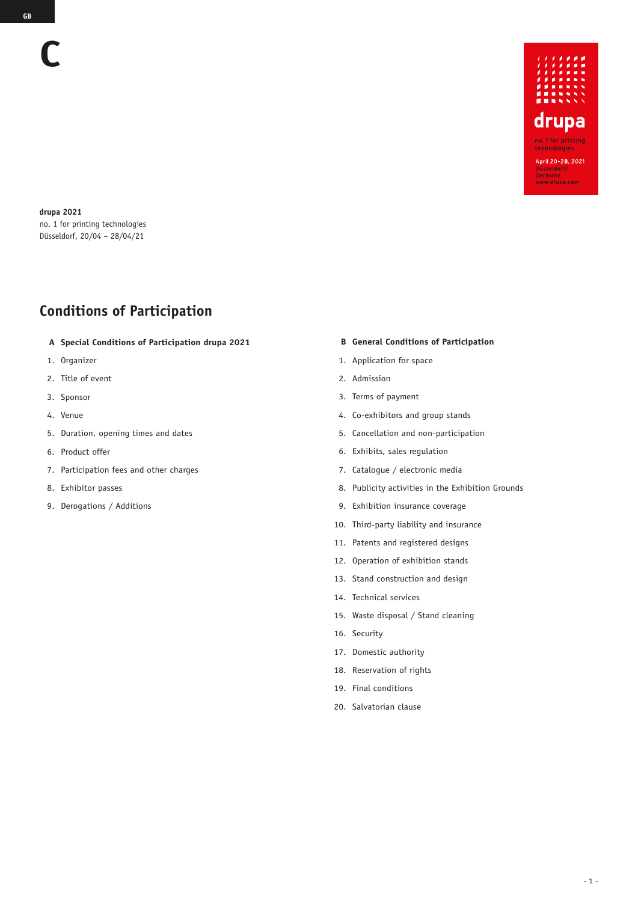**drupa 2021** no. 1 for printing technologies Düsseldorf, 20/04 – 28/04/21

# **Conditions of Participation**

- **A Special Conditions of Participation drupa 2021**
- 1. Organizer
- 2. Title of event
- 3. Sponsor
- 4. Venue
- 5. Duration, opening times and dates
- 6. Product offer
- 7. Participation fees and other charges
- 8. Exhibitor passes
- 9. Derogations / Additions

#### **B General Conditions of Participation**

- 1. Application for space
- 2. Admission
- 3. Terms of payment
- 4. Co-exhibitors and group stands
- 5. Cancellation and non-participation
- 6. Exhibits, sales regulation
- 7. Catalogue / electronic media
- 8. Publicity activities in the Exhibition Grounds
- 9. Exhibition insurance coverage
- 10. Third-party liability and insurance
- 11. Patents and registered designs
- 12. Operation of exhibition stands
- 13. Stand construction and design
- 14. Technical services
- 15. Waste disposal / Stand cleaning
- 16. Security
- 17. Domestic authority
- 18. Reservation of rights
- 19. Final conditions
- 20. Salvatorian clause

**C**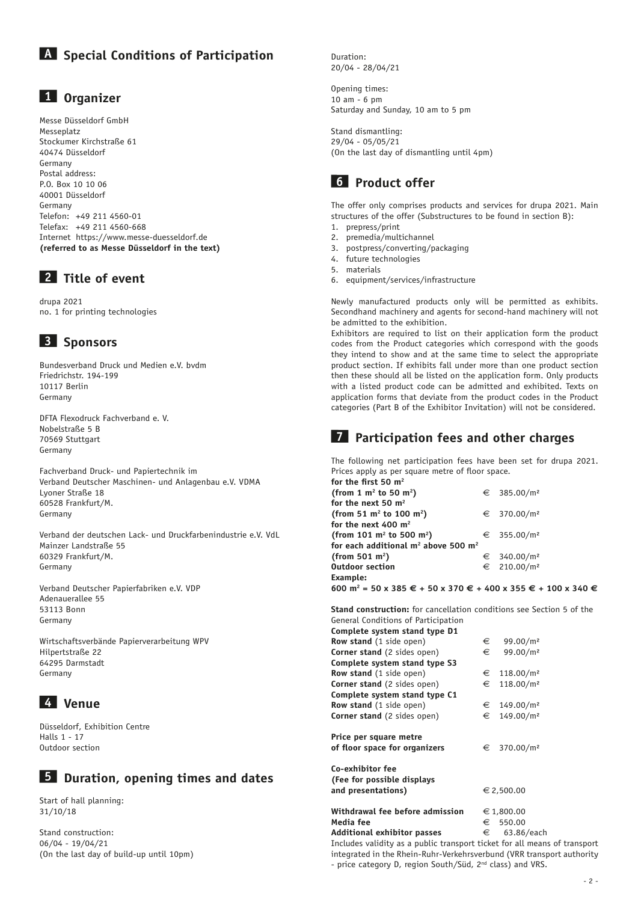# **A Special Conditions of Participation**

### **1 Organizer**

Messe Düsseldorf GmbH Messeplatz Stockumer Kirchstraße 61 40474 Düsseldorf Germany Postal address: P.O. Box 10 10 06 40001 Düsseldorf Germany Telefon: +49 211 4560-01 Telefax: +49 211 4560-668 Internet https://www.messe-duesseldorf.de **(referred to as Messe Düsseldorf in the text)**

# **2 Title of event**

drupa 2021 no. 1 for printing technologies

# **3 Sponsors**

Bundesverband Druck und Medien e.V. bvdm Friedrichstr. 194-199 10117 Berlin Germany

DFTA Flexodruck Fachverband e. V. Nobelstraße 5 B 70569 Stuttgart Germany

Fachverband Druck- und Papiertechnik im Verband Deutscher Maschinen- und Anlagenbau e.V. VDMA Lyoner Straße 18 60528 Frankfurt/M. Germany

Verband der deutschen Lack- und Druckfarbenindustrie e.V. VdL Mainzer Landstraße 55 60329 Frankfurt/M. Germany

Verband Deutscher Papierfabriken e.V. VDP Adenauerallee 55 53113 Bonn Germany

Wirtschaftsverbände Papierverarbeitung WPV Hilpertstraße 22 64295 Darmstadt Germany

# **4 Venue**

Düsseldorf, Exhibition Centre Halls 1 - 17 Outdoor section

# **5 Duration, opening times and dates**

Start of hall planning: 31/10/18

Stand construction: 06/04 - 19/04/21 (On the last day of build-up until 10pm) Duration: 20/04 - 28/04/21

Opening times: 10 am - 6 pm Saturday and Sunday, 10 am to 5 pm

Stand dismantling: 29/04 - 05/05/21 (On the last day of dismantling until 4pm)

### **6 Product offer**

The offer only comprises products and services for drupa 2021. Main structures of the offer (Substructures to be found in section B):

- 1. prepress/print
- 2. premedia/multichannel
- 3. postpress/converting/packaging
- 4. future technologies
- 5. materials 6. equipment/services/infrastructure

Newly manufactured products only will be permitted as exhibits. Secondhand machinery and agents for second-hand machinery will not be admitted to the exhibition.

Exhibitors are required to list on their application form the product codes from the Product categories which correspond with the goods they intend to show and at the same time to select the appropriate product section. If exhibits fall under more than one product section then these should all be listed on the application form. Only products with a listed product code can be admitted and exhibited. Texts on application forms that deviate from the product codes in the Product categories (Part B of the Exhibitor Invitation) will not be considered.

# **7 Participation fees and other charges**

The following net participation fees have been set for drupa 2021. Prices apply as per square metre of floor space.

| for the first 50 $m2$                     |                         |
|-------------------------------------------|-------------------------|
| (from 1 $m^2$ to 50 $m^2$ )               | € 385.00/m <sup>2</sup> |
| for the next 50 m <sup>2</sup>            |                         |
| (from 51 $m^2$ to 100 $m^2$ )             | € 370.00/m <sup>2</sup> |
| for the next 400 $m2$                     |                         |
| (from 101 $m^2$ to 500 $m^2$ )            | € 355.00/m <sup>2</sup> |
| for each additional $m^2$ above 500 $m^2$ |                         |
| (from 501 $m^2$ )                         | € 340.00/m <sup>2</sup> |
| <b>Outdoor section</b>                    | € 210.00/m <sup>2</sup> |
| Example:                                  |                         |

**600** m<sup>2</sup> = 50 x 385 € + 50 x 370 € + 400 x 355 € + 100 x 340 €

**Stand construction:** for cancellation conditions see Section 5 of the General Conditions of Participation

| Complete system stand type D1                                        |   |                         |
|----------------------------------------------------------------------|---|-------------------------|
| <b>Row stand</b> (1 side open)                                       | € | 99.00/m <sup>2</sup>    |
| <b>Corner stand</b> (2 sides open)                                   | € | 99.00/m <sup>2</sup>    |
| Complete system stand type S3                                        |   |                         |
| <b>Row stand</b> (1 side open)                                       | € | 118.00/m <sup>2</sup>   |
| <b>Corner stand</b> (2 sides open)                                   | € | 118.00/m <sup>2</sup>   |
| Complete system stand type C1                                        |   |                         |
| <b>Row stand</b> (1 side open)                                       | € | 149.00/m <sup>2</sup>   |
| <b>Corner stand</b> (2 sides open)                                   | € | 149.00/m <sup>2</sup>   |
| Price per square metre<br>of floor space for organizers              |   | € 370.00/m <sup>2</sup> |
| Co-exhibitor fee<br>(Fee for possible displays<br>and presentations) |   | € 2,500.00              |
| Withdrawal fee before admission<br>Media fee                         | € | € 1,800.00<br>550.00    |

### **Additional exhibitor passes**  $\epsilon$  63.86/each

Includes validity as a public transport ticket for all means of transport integrated in the Rhein-Ruhr-Verkehrsverbund (VRR transport authority - price category D, region South/Süd, 2<sup>nd</sup> class) and VRS.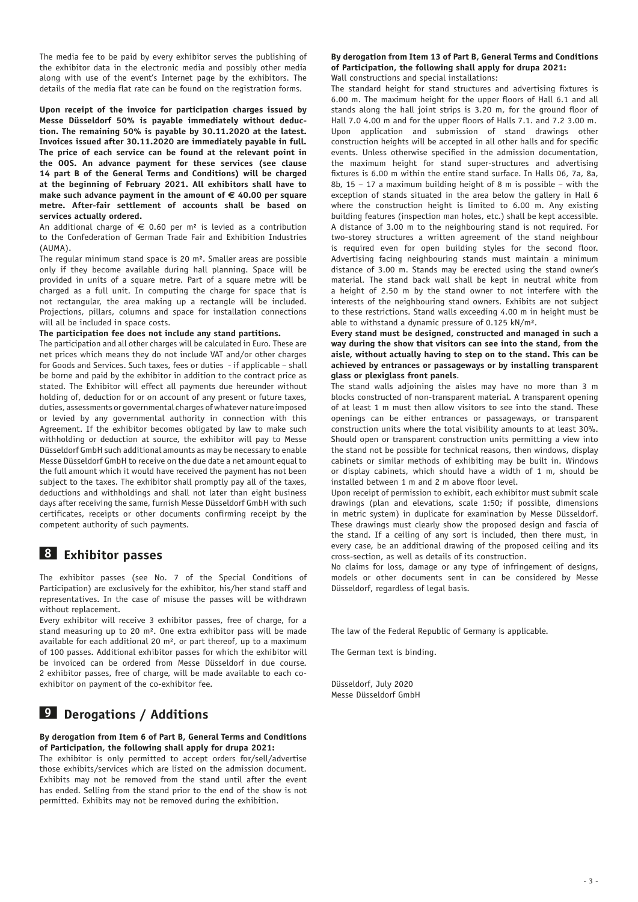The media fee to be paid by every exhibitor serves the publishing of the exhibitor data in the electronic media and possibly other media along with use of the event's Internet page by the exhibitors. The details of the media flat rate can be found on the registration forms.

**Upon receipt of the invoice for participation charges issued by Messe Düsseldorf 50% is payable immediately without deduction. The remaining 50% is payable by 30.11.2020 at the latest. Invoices issued after 30.11.2020 are immediately payable in full. The price of each service can be found at the relevant point in the OOS. An advance payment for these services (see clause 14 part B of the General Terms and Conditions) will be charged at the beginning of February 2021. All exhibitors shall have to**  make such advance payment in the amount of  $\epsilon$  40.00 per square **metre. After-fair settlement of accounts shall be based on services actually ordered.** 

An additional charge of  $\epsilon$  0.60 per m<sup>2</sup> is levied as a contribution to the Confederation of German Trade Fair and Exhibition Industries (AUMA).

The regular minimum stand space is 20 m². Smaller areas are possible only if they become available during hall planning. Space will be provided in units of a square metre. Part of a square metre will be charged as a full unit. In computing the charge for space that is not rectangular, the area making up a rectangle will be included. Projections, pillars, columns and space for installation connections will all be included in space costs.

#### **The participation fee does not include any stand partitions.**

The participation and all other charges will be calculated in Euro. These are net prices which means they do not include VAT and/or other charges for Goods and Services. Such taxes, fees or duties - if applicable – shall be borne and paid by the exhibitor in addition to the contract price as stated. The Exhibitor will effect all payments due hereunder without holding of, deduction for or on account of any present or future taxes, duties, assessments or governmental charges of whatever nature imposed or levied by any governmental authority in connection with this Agreement. If the exhibitor becomes obligated by law to make such withholding or deduction at source, the exhibitor will pay to Messe Düsseldorf GmbH such additional amounts as may be necessary to enable Messe Düsseldorf GmbH to receive on the due date a net amount equal to the full amount which it would have received the payment has not been subject to the taxes. The exhibitor shall promptly pay all of the taxes, deductions and withholdings and shall not later than eight business days after receiving the same, furnish Messe Düsseldorf GmbH with such certificates, receipts or other documents confirming receipt by the competent authority of such payments.

#### **8 Exhibitor passes**

The exhibitor passes (see No. 7 of the Special Conditions of Participation) are exclusively for the exhibitor, his/her stand staff and representatives. In the case of misuse the passes will be withdrawn without replacement.

Every exhibitor will receive 3 exhibitor passes, free of charge, for a stand measuring up to 20 m². One extra exhibitor pass will be made available for each additional 20 m², or part thereof, up to a maximum of 100 passes. Additional exhibitor passes for which the exhibitor will be invoiced can be ordered from Messe Düsseldorf in due course. 2 exhibitor passes, free of charge, will be made available to each coexhibitor on payment of the co-exhibitor fee.

# **9 Derogations / Additions**

#### **By derogation from Item 6 of Part B, General Terms and Conditions of Participation, the following shall apply for drupa 2021:**

The exhibitor is only permitted to accept orders for/sell/advertise those exhibits/services which are listed on the admission document. Exhibits may not be removed from the stand until after the event has ended. Selling from the stand prior to the end of the show is not permitted. Exhibits may not be removed during the exhibition.

#### **By derogation from Item 13 of Part B, General Terms and Conditions of Participation, the following shall apply for drupa 2021:**  Wall constructions and special installations:

The standard height for stand structures and advertising fixtures is 6.00 m. The maximum height for the upper floors of Hall 6.1 and all stands along the hall joint strips is 3.20 m, for the ground floor of Hall 7.0 4.00 m and for the upper floors of Halls 7.1. and 7.2 3.00 m. Upon application and submission of stand drawings other construction heights will be accepted in all other halls and for specific events. Unless otherwise specified in the admission documentation, the maximum height for stand super-structures and advertising fixtures is 6.00 m within the entire stand surface. In Halls 06, 7a, 8a, 8b, 15 – 17 a maximum building height of 8 m is possible – with the exception of stands situated in the area below the gallery in Hall 6 where the construction height is limited to 6.00 m. Any existing building features (inspection man holes, etc.) shall be kept accessible. A distance of 3.00 m to the neighbouring stand is not required. For two-storey structures a written agreement of the stand neighbour is required even for open building styles for the second floor. Advertising facing neighbouring stands must maintain a minimum distance of 3.00 m. Stands may be erected using the stand owner's material. The stand back wall shall be kept in neutral white from a height of 2.50 m by the stand owner to not interfere with the interests of the neighbouring stand owners. Exhibits are not subject to these restrictions. Stand walls exceeding 4.00 m in height must be able to withstand a dynamic pressure of 0.125 kN/m².

**Every stand must be designed, constructed and managed in such a way during the show that visitors can see into the stand, from the aisle, without actually having to step on to the stand. This can be achieved by entrances or passageways or by installing transparent glass or plexiglass front panels**.

The stand walls adjoining the aisles may have no more than 3 m blocks constructed of non-transparent material. A transparent opening of at least 1 m must then allow visitors to see into the stand. These openings can be either entrances or passageways, or transparent construction units where the total visibility amounts to at least 30%. Should open or transparent construction units permitting a view into the stand not be possible for technical reasons, then windows, display cabinets or similar methods of exhibiting may be built in. Windows or display cabinets, which should have a width of 1 m, should be installed between 1 m and 2 m above floor level.

Upon receipt of permission to exhibit, each exhibitor must submit scale drawings (plan and elevations, scale 1:50; if possible, dimensions in metric system) in duplicate for examination by Messe Düsseldorf. These drawings must clearly show the proposed design and fascia of the stand. If a ceiling of any sort is included, then there must, in every case, be an additional drawing of the proposed ceiling and its cross-section, as well as details of its construction.

No claims for loss, damage or any type of infringement of designs, models or other documents sent in can be considered by Messe Düsseldorf, regardless of legal basis.

The law of the Federal Republic of Germany is applicable.

The German text is binding.

Düsseldorf, July 2020 Messe Düsseldorf GmbH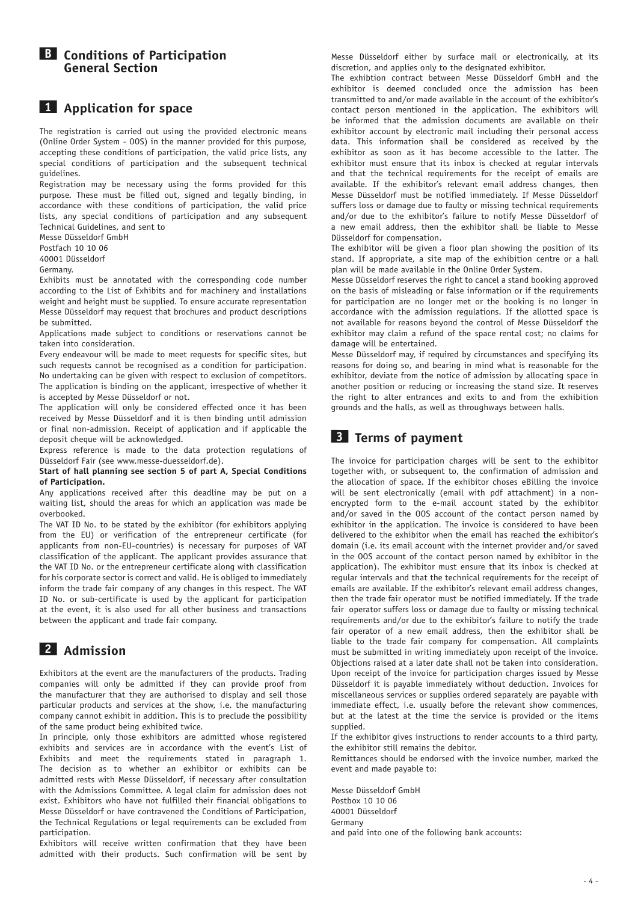**B Conditions of Participation General Section**

#### **1 Application for space**

The registration is carried out using the provided electronic means (Online Order System - OOS) in the manner provided for this purpose, accepting these conditions of participation, the valid price lists, any special conditions of participation and the subsequent technical guidelines.

Registration may be necessary using the forms provided for this purpose. These must be filled out, signed and legally binding, in accordance with these conditions of participation, the valid price lists, any special conditions of participation and any subsequent Technical Guidelines, and sent to

Messe Düsseldorf GmbH

Postfach 10 10 06 40001 Düsseldorf

Germany.

Exhibits must be annotated with the corresponding code number according to the List of Exhibits and for machinery and installations weight and height must be supplied. To ensure accurate representation Messe Düsseldorf may request that brochures and product descriptions be submitted.

Applications made subject to conditions or reservations cannot be taken into consideration.

Every endeavour will be made to meet requests for specific sites, but such requests cannot be recognised as a condition for participation. No undertaking can be given with respect to exclusion of competitors. The application is binding on the applicant, irrespective of whether it is accepted by Messe Düsseldorf or not.

The application will only be considered effected once it has been received by Messe Düsseldorf and it is then binding until admission or final non-admission. Receipt of application and if applicable the deposit cheque will be acknowledged.

Express reference is made to the data protection regulations of Düsseldorf Fair (see www.messe-duesseldorf.de).

#### **Start of hall planning see section 5 of part A, Special Conditions of Participation.**

Any applications received after this deadline may be put on a waiting list, should the areas for which an application was made be overbooked.

The VAT ID No. to be stated by the exhibitor (for exhibitors applying from the EU) or verification of the entrepreneur certificate (for applicants from non-EU-countries) is necessary for purposes of VAT classification of the applicant. The applicant provides assurance that the VAT ID No. or the entrepreneur certificate along with classification for his corporate sector is correct and valid. He is obliged to immediately inform the trade fair company of any changes in this respect. The VAT ID No. or sub-certificate is used by the applicant for participation at the event, it is also used for all other business and transactions between the applicant and trade fair company.

# **2 Admission**

Exhibitors at the event are the manufacturers of the products. Trading companies will only be admitted if they can provide proof from the manufacturer that they are authorised to display and sell those particular products and services at the show, i.e. the manufacturing company cannot exhibit in addition. This is to preclude the possibility of the same product being exhibited twice.

In principle, only those exhibitors are admitted whose registered exhibits and services are in accordance with the event's List of Exhibits and meet the requirements stated in paragraph 1. The decision as to whether an exhibitor or exhibits can be admitted rests with Messe Düsseldorf, if necessary after consultation with the Admissions Committee. A legal claim for admission does not exist. Exhibitors who have not fulfilled their financial obligations to Messe Düsseldorf or have contravened the Conditions of Participation, the Technical Regulations or legal requirements can be excluded from participation.

Exhibitors will receive written confirmation that they have been admitted with their products. Such confirmation will be sent by

Messe Düsseldorf either by surface mail or electronically, at its discretion, and applies only to the designated exhibitor.

The exhibtion contract between Messe Düsseldorf GmbH and the exhibitor is deemed concluded once the admission has been transmitted to and/or made available in the account of the exhibitor's contact person mentioned in the application. The exhibitors will be informed that the admission documents are available on their exhibitor account by electronic mail including their personal access data. This information shall be considered as received by the exhibitor as soon as it has become accessible to the latter. The exhibitor must ensure that its inbox is checked at regular intervals and that the technical requirements for the receipt of emails are available. If the exhibitor's relevant email address changes, then Messe Düsseldorf must be notified immediately. If Messe Düsseldorf suffers loss or damage due to faulty or missing technical requirements and/or due to the exhibitor's failure to notify Messe Düsseldorf of a new email address, then the exhibitor shall be liable to Messe Düsseldorf for compensation.

The exhibitor will be given a floor plan showing the position of its stand. If appropriate, a site map of the exhibition centre or a hall plan will be made available in the Online Order System.

Messe Düsseldorf reserves the right to cancel a stand booking approved on the basis of misleading or false information or if the requirements for participation are no longer met or the booking is no longer in accordance with the admission regulations. If the allotted space is not available for reasons beyond the control of Messe Düsseldorf the exhibitor may claim a refund of the space rental cost; no claims for damage will be entertained.

Messe Düsseldorf may, if required by circumstances and specifying its reasons for doing so, and bearing in mind what is reasonable for the exhibitor, deviate from the notice of admission by allocating space in another position or reducing or increasing the stand size. It reserves the right to alter entrances and exits to and from the exhibition grounds and the halls, as well as throughways between halls.

#### **3 Terms of payment**

The invoice for participation charges will be sent to the exhibitor together with, or subsequent to, the confirmation of admission and the allocation of space. If the exhibitor choses eBilling the invoice will be sent electronically (email with pdf attachment) in a nonencrypted form to the e-mail account stated by the exhibitor and/or saved in the OOS account of the contact person named by exhibitor in the application. The invoice is considered to have been delivered to the exhibitor when the email has reached the exhibitor's domain (i.e. its email account with the internet provider and/or saved in the OOS account of the contact person named by exhibitor in the application). The exhibitor must ensure that its inbox is checked at regular intervals and that the technical requirements for the receipt of emails are available. If the exhibitor's relevant email address changes, then the trade fair operator must be notified immediately. If the trade fair operator suffers loss or damage due to faulty or missing technical requirements and/or due to the exhibitor's failure to notify the trade fair operator of a new email address, then the exhibitor shall be liable to the trade fair company for compensation. All complaints must be submitted in writing immediately upon receipt of the invoice. Objections raised at a later date shall not be taken into consideration. Upon receipt of the invoice for participation charges issued by Messe Düsseldorf it is payable immediately without deduction. Invoices for miscellaneous services or supplies ordered separately are payable with immediate effect, i.e. usually before the relevant show commences, but at the latest at the time the service is provided or the items supplied.

If the exhibitor gives instructions to render accounts to a third party, the exhibitor still remains the debitor.

Remittances should be endorsed with the invoice number, marked the event and made payable to:

Messe Düsseldorf GmbH Postbox 10 10 06 40001 Düsseldorf Germany and paid into one of the following bank accounts: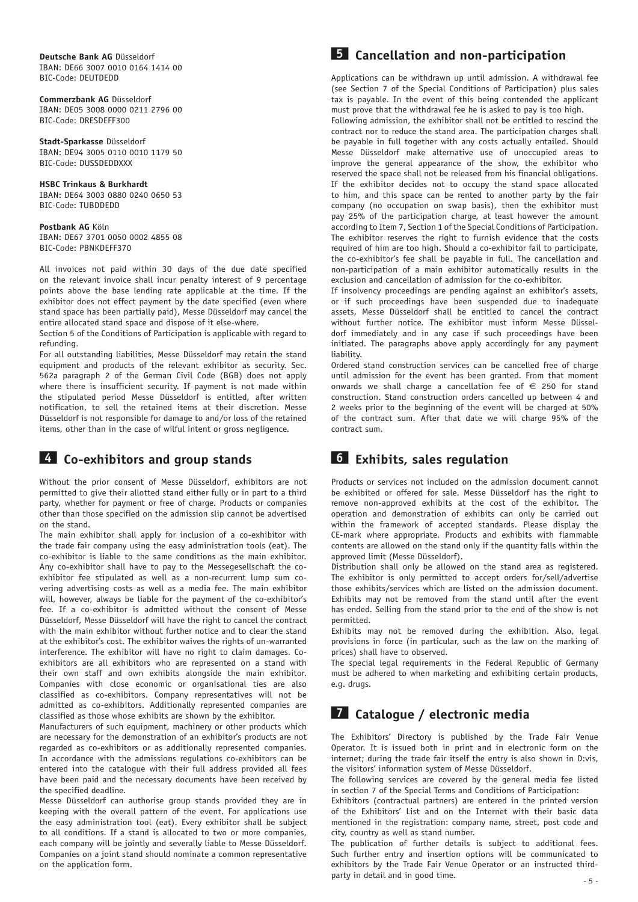**Deutsche Bank AG** Düsseldorf IBAN: DE66 3007 0010 0164 1414 00 BIC-Code: DEUTDEDD

**Commerzbank AG** Düsseldorf IBAN: DE05 3008 0000 0211 2796 00 BIC-Code: DRESDEFF300

**Stadt-Sparkasse** Düsseldorf IBAN: DE94 3005 0110 0010 1179 50 BIC-Code: DUSSDEDDXXX

**HSBC Trinkaus & Burkhardt** IBAN: DE64 3003 0880 0240 0650 53 BIC-Code: TUBDDEDD

#### **Postbank AG** Köln IBAN: DE67 3701 0050 0002 4855 08 BIC-Code: PBNKDEFF370

All invoices not paid within 30 days of the due date specified on the relevant invoice shall incur penalty interest of 9 percentage points above the base lending rate applicable at the time. If the exhibitor does not effect payment by the date specified (even where stand space has been partially paid), Messe Düsseldorf may cancel the entire allocated stand space and dispose of it else-where.

Section 5 of the Conditions of Participation is applicable with regard to refunding.

For all outstanding liabilities, Messe Düsseldorf may retain the stand equipment and products of the relevant exhibitor as security. Sec. 562a paragraph 2 of the German Civil Code (BGB) does not apply where there is insufficient security. If payment is not made within the stipulated period Messe Düsseldorf is entitled, after written notification, to sell the retained items at their discretion. Messe Düsseldorf is not responsible for damage to and/or loss of the retained items, other than in the case of wilful intent or gross negligence.

### **4 Co-exhibitors and group stands**

Without the prior consent of Messe Düsseldorf, exhibitors are not permitted to give their allotted stand either fully or in part to a third party, whether for payment or free of charge. Products or companies other than those specified on the admission slip cannot be advertised on the stand.

The main exhibitor shall apply for inclusion of a co-exhibitor with the trade fair company using the easy administration tools (eat). The co-exhibitor is liable to the same conditions as the main exhibitor. Any co-exhibitor shall have to pay to the Messegesellschaft the coexhibitor fee stipulated as well as a non-recurrent lump sum covering advertising costs as well as a media fee. The main exhibitor will, however, always be liable for the payment of the co-exhibitor's fee. If a co-exhibitor is admitted without the consent of Messe Düsseldorf, Messe Düsseldorf will have the right to cancel the contract with the main exhibitor without further notice and to clear the stand at the exhibitor's cost. The exhibitor waives the rights of un-warranted interference. The exhibitor will have no right to claim damages. Coexhibitors are all exhibitors who are represented on a stand with their own staff and own exhibits alongside the main exhibitor. Companies with close economic or organisational ties are also classified as co-exhibitors. Company representatives will not be admitted as co-exhibitors. Additionally represented companies are classified as those whose exhibits are shown by the exhibitor.

Manufacturers of such equipment, machinery or other products which are necessary for the demonstration of an exhibitor's products are not regarded as co-exhibitors or as additionally represented companies. In accordance with the admissions regulations co-exhibitors can be entered into the catalogue with their full address provided all fees have been paid and the necessary documents have been received by the specified deadline.

Messe Düsseldorf can authorise group stands provided they are in keeping with the overall pattern of the event. For applications use the easy administration tool (eat). Every exhibitor shall be subject to all conditions. If a stand is allocated to two or more companies, each company will be jointly and severally liable to Messe Düsseldorf. Companies on a joint stand should nominate a common representative on the application form.

# **5 Cancellation and non-participation**

Applications can be withdrawn up until admission. A withdrawal fee (see Section 7 of the Special Conditions of Participation) plus sales tax is payable. In the event of this being contended the applicant must prove that the withdrawal fee he is asked to pay is too high.

Following admission, the exhibitor shall not be entitled to rescind the contract nor to reduce the stand area. The participation charges shall be payable in full together with any costs actually entailed. Should Messe Düsseldorf make alternative use of unoccupied areas to improve the general appearance of the show, the exhibitor who reserved the space shall not be released from his financial obligations. If the exhibitor decides not to occupy the stand space allocated to him, and this space can be rented to another party by the fair company (no occupation on swap basis), then the exhibitor must pay 25% of the participation charge, at least however the amount according to Item 7, Section 1 of the Special Conditions of Participation. The exhibitor reserves the right to furnish evidence that the costs required of him are too high. Should a co-exhibitor fail to participate, the co-exhibitor's fee shall be payable in full. The cancellation and non-participation of a main exhibitor automatically results in the exclusion and cancellation of admission for the co-exhibitor.

If insolvency proceedings are pending against an exhibitor's assets, or if such proceedings have been suspended due to inadequate assets, Messe Düsseldorf shall be entitled to cancel the contract without further notice. The exhibitor must inform Messe Düsseldorf immediately and in any case if such proceedings have been initiated. The paragraphs above apply accordingly for any payment liability.

Ordered stand construction services can be cancelled free of charge until admission for the event has been granted. From that moment onwards we shall charge a cancellation fee of  $\epsilon$  250 for stand construction. Stand construction orders cancelled up between 4 and 2 weeks prior to the beginning of the event will be charged at 50% of the contract sum. After that date we will charge 95% of the contract sum.

# **6 Exhibits, sales regulation**

Products or services not included on the admission document cannot be exhibited or offered for sale. Messe Düsseldorf has the right to remove non-approved exhibits at the cost of the exhibitor. The operation and demonstration of exhibits can only be carried out within the framework of accepted standards. Please display the CE-mark where appropriate. Products and exhibits with flammable contents are allowed on the stand only if the quantity falls within the approved limit (Messe Düsseldorf).

Distribution shall only be allowed on the stand area as registered. The exhibitor is only permitted to accept orders for/sell/advertise those exhibits/services which are listed on the admission document. Exhibits may not be removed from the stand until after the event has ended. Selling from the stand prior to the end of the show is not permitted.

Exhibits may not be removed during the exhibition. Also, legal provisions in force (in particular, such as the law on the marking of prices) shall have to observed.

The special legal requirements in the Federal Republic of Germany must be adhered to when marketing and exhibiting certain products, e.g. drugs.

# **7 Catalogue / electronic media**

The Exhibitors' Directory is published by the Trade Fair Venue Operator. It is issued both in print and in electronic form on the internet; during the trade fair itself the entry is also shown in D:vis, the visitors' information system of Messe Düsseldorf.

The following services are covered by the general media fee listed in section 7 of the Special Terms and Conditions of Participation:

Exhibitors (contractual partners) are entered in the printed version of the Exhibitors' List and on the Internet with their basic data mentioned in the registration: company name, street, post code and city, country as well as stand number.

The publication of further details is subject to additional fees. Such further entry and insertion options will be communicated to exhibitors by the Trade Fair Venue Operator or an instructed thirdparty in detail and in good time.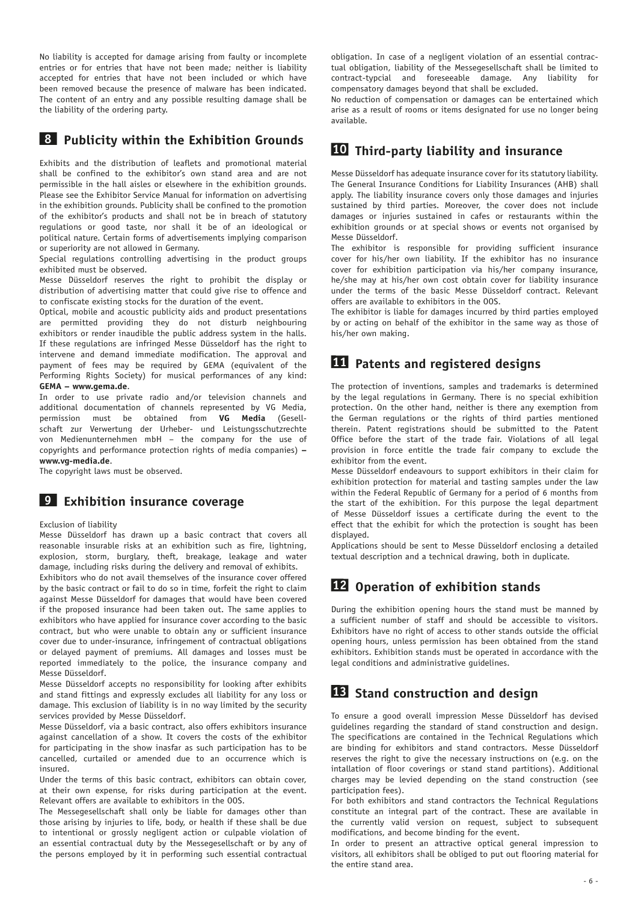No liability is accepted for damage arising from faulty or incomplete entries or for entries that have not been made; neither is liability accepted for entries that have not been included or which have been removed because the presence of malware has been indicated. The content of an entry and any possible resulting damage shall be the liability of the ordering party.

#### **8 Publicity within the Exhibition Grounds**

Exhibits and the distribution of leaflets and promotional material shall be confined to the exhibitor's own stand area and are not permissible in the hall aisles or elsewhere in the exhibition grounds. Please see the Exhibitor Service Manual for information on advertising in the exhibition grounds. Publicity shall be confined to the promotion of the exhibitor's products and shall not be in breach of statutory regulations or good taste, nor shall it be of an ideological or political nature. Certain forms of advertisements implying comparison or superiority are not allowed in Germany.

Special regulations controlling advertising in the product groups exhibited must be observed.

Messe Düsseldorf reserves the right to prohibit the display or distribution of advertising matter that could give rise to offence and to confiscate existing stocks for the duration of the event.

Optical, mobile and acoustic publicity aids and product presentations are permitted providing they do not disturb neighbouring exhibitors or render inaudible the public address system in the halls. If these regulations are infringed Messe Düsseldorf has the right to intervene and demand immediate modification. The approval and payment of fees may be required by GEMA (equivalent of the Performing Rights Society) for musical performances of any kind: **GEMA – www.gema.de**.

In order to use private radio and/or television channels and additional documentation of channels represented by VG Media, permission must be obtained from **VG Media** (Gesellschaft zur Verwertung der Urheber- und Leistungsschutzrechte von Medienunternehmen mbH – the company for the use of copyrights and performance protection rights of media companies) **– www.vg-media.de**.

The copyright laws must be observed.

### **9 Exhibition insurance coverage**

#### Exclusion of liability

Messe Düsseldorf has drawn up a basic contract that covers all reasonable insurable risks at an exhibition such as fire, lightning, explosion, storm, burglary, theft, breakage, leakage and water damage, including risks during the delivery and removal of exhibits.

Exhibitors who do not avail themselves of the insurance cover offered by the basic contract or fail to do so in time, forfeit the right to claim against Messe Düsseldorf for damages that would have been covered if the proposed insurance had been taken out. The same applies to exhibitors who have applied for insurance cover according to the basic contract, but who were unable to obtain any or sufficient insurance cover due to under-insurance, infringement of contractual obligations or delayed payment of premiums. All damages and losses must be reported immediately to the police, the insurance company and Messe Düsseldorf.

Messe Düsseldorf accepts no responsibility for looking after exhibits and stand fittings and expressly excludes all liability for any loss or damage. This exclusion of liability is in no way limited by the security services provided by Messe Düsseldorf.

Messe Düsseldorf, via a basic contract, also offers exhibitors insurance against cancellation of a show. It covers the costs of the exhibitor for participating in the show inasfar as such participation has to be cancelled, curtailed or amended due to an occurrence which is insured.

Under the terms of this basic contract, exhibitors can obtain cover, at their own expense, for risks during participation at the event. Relevant offers are available to exhibitors in the OOS.

The Messegesellschaft shall only be liable for damages other than those arising by injuries to life, body, or health if these shall be due to intentional or grossly negligent action or culpable violation of an essential contractual duty by the Messegesellschaft or by any of the persons employed by it in performing such essential contractual

obligation. In case of a negligent violation of an essential contractual obligation, liability of the Messegesellschaft shall be limited to contract-typcial and foreseeable damage. Any liability for compensatory damages beyond that shall be excluded.

No reduction of compensation or damages can be entertained which arise as a result of rooms or items designated for use no longer being available.

## **10 Third-party liability and insurance**

Messe Düsseldorf has adequate insurance cover for its statutory liability. The General Insurance Conditions for Liability Insurances (AHB) shall apply. The liability insurance covers only those damages and injuries sustained by third parties. Moreover, the cover does not include damages or injuries sustained in cafes or restaurants within the exhibition grounds or at special shows or events not organised by Messe Düsseldorf.

The exhibitor is responsible for providing sufficient insurance cover for his/her own liability. If the exhibitor has no insurance cover for exhibition participation via his/her company insurance, he/she may at his/her own cost obtain cover for liability insurance under the terms of the basic Messe Düsseldorf contract. Relevant offers are available to exhibitors in the OOS.

The exhibitor is liable for damages incurred by third parties employed by or acting on behalf of the exhibitor in the same way as those of his/her own making.

### **11 Patents and registered designs**

The protection of inventions, samples and trademarks is determined by the legal regulations in Germany. There is no special exhibition protection. On the other hand, neither is there any exemption from the German regulations or the rights of third parties mentioned therein. Patent registrations should be submitted to the Patent Office before the start of the trade fair. Violations of all legal provision in force entitle the trade fair company to exclude the exhibitor from the event.

Messe Düsseldorf endeavours to support exhibitors in their claim for exhibition protection for material and tasting samples under the law within the Federal Republic of Germany for a period of 6 months from the start of the exhibition. For this purpose the legal department of Messe Düsseldorf issues a certificate during the event to the effect that the exhibit for which the protection is sought has been displayed.

Applications should be sent to Messe Düsseldorf enclosing a detailed textual description and a technical drawing, both in duplicate.

# **12 Operation of exhibition stands**

During the exhibition opening hours the stand must be manned by a sufficient number of staff and should be accessible to visitors. Exhibitors have no right of access to other stands outside the official opening hours, unless permission has been obtained from the stand exhibitors. Exhibition stands must be operated in accordance with the legal conditions and administrative guidelines.

# **13 Stand construction and design**

To ensure a good overall impression Messe Düsseldorf has devised guidelines regarding the standard of stand construction and design. The specifications are contained in the Technical Regulations which are binding for exhibitors and stand contractors. Messe Düsseldorf reserves the right to give the necessary instructions on (e.g. on the intallation of floor coverings or stand stand partitions). Additional charges may be levied depending on the stand construction (see participation fees).

For both exhibitors and stand contractors the Technical Regulations constitute an integral part of the contract. These are available in the currently valid version on request, subject to subsequent modifications, and become binding for the event.

In order to present an attractive optical general impression to visitors, all exhibitors shall be obliged to put out flooring material for the entire stand area.